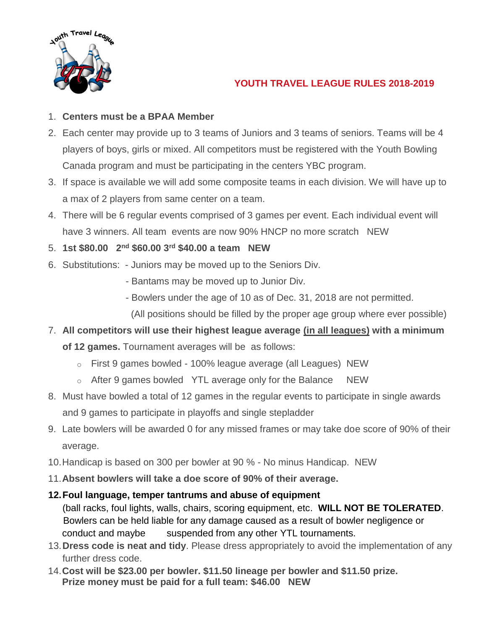

# **YOUTH TRAVEL LEAGUE RULES 2018-2019**

## 1. **Centers must be a BPAA Member**

- 2. Each center may provide up to 3 teams of Juniors and 3 teams of seniors. Teams will be 4 players of boys, girls or mixed. All competitors must be registered with the Youth Bowling Canada program and must be participating in the centers YBC program.
- 3. If space is available we will add some composite teams in each division. We will have up to a max of 2 players from same center on a team.
- 4. There will be 6 regular events comprised of 3 games per event. Each individual event will have 3 winners. All team events are now 90% HNCP no more scratch NEW
- 5. **1st \$80.00 2nd \$60.00 3rd \$40.00 a team NEW**
- 6. Substitutions: Juniors may be moved up to the Seniors Div.
	- Bantams may be moved up to Junior Div.
	- Bowlers under the age of 10 as of Dec. 31, 2018 are not permitted.

(All positions should be filled by the proper age group where ever possible)

- 7. **All competitors will use their highest league average (in all leagues) with a minimum of 12 games.** Tournament averages will be as follows:
	- o First 9 games bowled 100% league average (all Leagues) NEW
	- o After 9 games bowled YTL average only for the Balance NEW
- 8. Must have bowled a total of 12 games in the regular events to participate in single awards and 9 games to participate in playoffs and single stepladder
- 9. Late bowlers will be awarded 0 for any missed frames or may take doe score of 90% of their average.
- 10.Handicap is based on 300 per bowler at 90 % No minus Handicap. NEW
- 11.**Absent bowlers will take a doe score of 90% of their average.**

## **12.Foul language, temper tantrums and abuse of equipment**

(ball racks, foul lights, walls, chairs, scoring equipment, etc. **WILL NOT BE TOLERATED**. Bowlers can be held liable for any damage caused as a result of bowler negligence or conduct and maybe suspended from any other YTL tournaments.

- 13.**Dress code is neat and tidy**. Please dress appropriately to avoid the implementation of any further dress code.
- 14.**Cost will be \$23.00 per bowler. \$11.50 lineage per bowler and \$11.50 prize. Prize money must be paid for a full team: \$46.00 NEW**